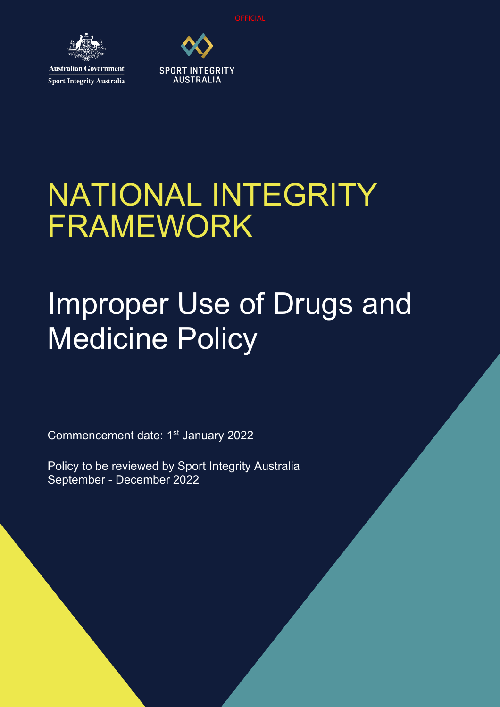**OFFICIAL** 



**Sport Integrity Australia** 



# NATIONAL INTEGRITY FRAMEWORK

# Improper Use of Drugs and Medicine Policy

Commencement date: 1<sup>st</sup> January 2022

Policy to be reviewed by Sport Integrity Australia September - December 2022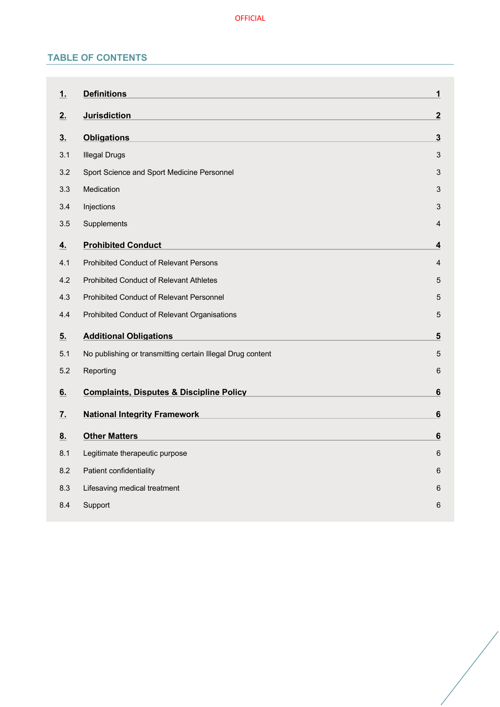# **TABLE OF CONTENTS**

| 1.             | <b>Definitions</b>                                         | $\mathbf{1}$            |
|----------------|------------------------------------------------------------|-------------------------|
| 2.             | <b>Jurisdiction</b>                                        | $\mathbf{2}$            |
| 3 <sub>1</sub> | <b>Obligations</b>                                         | $\overline{\mathbf{3}}$ |
| 3.1            | <b>Illegal Drugs</b>                                       | $\sqrt{3}$              |
| 3.2            | Sport Science and Sport Medicine Personnel                 | $\mathfrak{S}$          |
| 3.3            | Medication                                                 | $\mathfrak{S}$          |
| 3.4            | Injections                                                 | $\mathfrak{S}$          |
| 3.5            | Supplements                                                | 4                       |
| 4.             | <b>Prohibited Conduct</b>                                  | $\boldsymbol{4}$        |
| 4.1            | Prohibited Conduct of Relevant Persons                     | $\overline{4}$          |
| 4.2            | Prohibited Conduct of Relevant Athletes                    | $\mathbf 5$             |
| 4.3            | Prohibited Conduct of Relevant Personnel                   | $\sqrt{5}$              |
| 4.4            | Prohibited Conduct of Relevant Organisations               | $\mathbf 5$             |
| 5.             | <b>Additional Obligations</b>                              | 5                       |
| 5.1            | No publishing or transmitting certain Illegal Drug content | 5                       |
| 5.2            | Reporting                                                  | 6                       |
| 6.             | <b>Complaints, Disputes &amp; Discipline Policy</b>        | 6                       |
| <u>7.</u>      | <b>National Integrity Framework</b>                        | $\bf 6$                 |
| 8.             | <b>Other Matters</b>                                       | $6\phantom{1}$          |
|                |                                                            |                         |
| 8.1            | Legitimate therapeutic purpose                             | 6                       |
| 8.2            | Patient confidentiality                                    | 6                       |
| 8.3            | Lifesaving medical treatment                               | 6                       |
| 8.4            | Support                                                    | 6                       |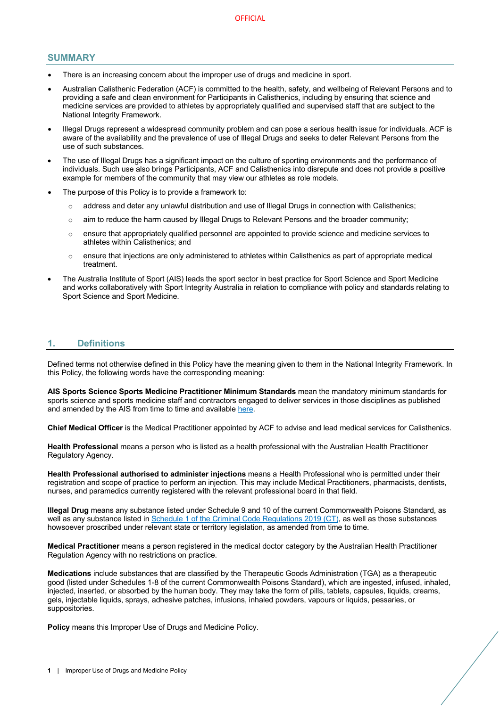### **SUMMARY**

- There is an increasing concern about the improper use of drugs and medicine in sport.
- Australian Calisthenic Federation (ACF) is committed to the health, safety, and wellbeing of Relevant Persons and to providing a safe and clean environment for Participants in Calisthenics, including by ensuring that science and medicine services are provided to athletes by appropriately qualified and supervised staff that are subject to the National Integrity Framework.
- Illegal Drugs represent a widespread community problem and can pose a serious health issue for individuals. ACF is aware of the availability and the prevalence of use of Illegal Drugs and seeks to deter Relevant Persons from the use of such substances.
- The use of Illegal Drugs has a significant impact on the culture of sporting environments and the performance of individuals. Such use also brings Participants, ACF and Calisthenics into disrepute and does not provide a positive example for members of the community that may view our athletes as role models.
- The purpose of this Policy is to provide a framework to:
	- o address and deter any unlawful distribution and use of Illegal Drugs in connection with Calisthenics;
	- $\circ$  aim to reduce the harm caused by Illegal Drugs to Relevant Persons and the broader community;
	- $\circ$  ensure that appropriately qualified personnel are appointed to provide science and medicine services to athletes within Calisthenics; and
	- $\circ$  ensure that injections are only administered to athletes within Calisthenics as part of appropriate medical treatment.
- The Australia Institute of Sport (AIS) leads the sport sector in best practice for Sport Science and Sport Medicine and works collaboratively with Sport Integrity Australia in relation to compliance with policy and standards relating to Sport Science and Sport Medicine.

## **1. Definitions**

Defined terms not otherwise defined in this Policy have the meaning given to them in the National Integrity Framework. In this Policy, the following words have the corresponding meaning:

**AIS Sports Science Sports Medicine Practitioner Minimum Standards** mean the mandatory minimum standards for sports science and sports medicine staff and contractors engaged to deliver services in those disciplines as published and amended by the AIS from time to time and available here.

**Chief Medical Officer** is the Medical Practitioner appointed by ACF to advise and lead medical services for Calisthenics.

**Health Professional** means a person who is listed as a health professional with the Australian Health Practitioner Regulatory Agency.

**Health Professional authorised to administer injections** means a Health Professional who is permitted under their registration and scope of practice to perform an injection. This may include Medical Practitioners, pharmacists, dentists, nurses, and paramedics currently registered with the relevant professional board in that field.

**Illegal Drug** means any substance listed under Schedule 9 and 10 of the current Commonwealth Poisons Standard, as well as any substance listed in Schedule 1 of the Criminal Code Regulations 2019 (CT), as well as those substances howsoever proscribed under relevant state or territory legislation, as amended from time to time.

**Medical Practitioner** means a person registered in the medical doctor category by the Australian Health Practitioner Regulation Agency with no restrictions on practice.

**Medications** include substances that are classified by the Therapeutic Goods Administration (TGA) as a therapeutic good (listed under Schedules 1-8 of the current Commonwealth Poisons Standard), which are ingested, infused, inhaled, injected, inserted, or absorbed by the human body. They may take the form of pills, tablets, capsules, liquids, creams, gels, injectable liquids, sprays, adhesive patches, infusions, inhaled powders, vapours or liquids, pessaries, or suppositories.

**Policy** means this Improper Use of Drugs and Medicine Policy.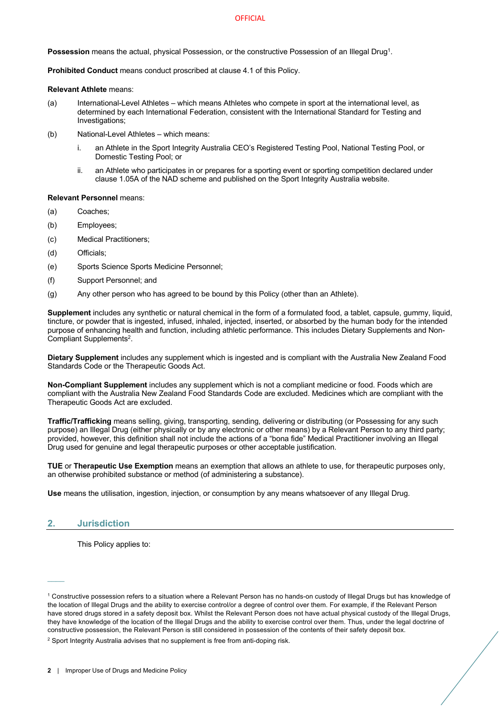#### **OFFICIAL**

**Possession** means the actual, physical Possession, or the constructive Possession of an Illegal Drug1.

**Prohibited Conduct** means conduct proscribed at clause 4.1 of this Policy.

#### **Relevant Athlete** means:

- (a) International-Level Athletes which means Athletes who compete in sport at the international level, as determined by each International Federation, consistent with the International Standard for Testing and Investigations;
- (b) National-Level Athletes which means:
	- i. an Athlete in the Sport Integrity Australia CEO's Registered Testing Pool, National Testing Pool, or Domestic Testing Pool; or
	- ii. an Athlete who participates in or prepares for a sporting event or sporting competition declared under clause 1.05A of the NAD scheme and published on the Sport Integrity Australia website.

#### **Relevant Personnel** means:

- (a) Coaches;
- (b) Employees;
- (c) Medical Practitioners;
- (d) Officials;
- (e) Sports Science Sports Medicine Personnel;
- (f) Support Personnel; and
- (g) Any other person who has agreed to be bound by this Policy (other than an Athlete).

**Supplement** includes any synthetic or natural chemical in the form of a formulated food, a tablet, capsule, gummy, liquid, tincture, or powder that is ingested, infused, inhaled, injected, inserted, or absorbed by the human body for the intended purpose of enhancing health and function, including athletic performance. This includes Dietary Supplements and Non-Compliant Supplements2.

**Dietary Supplement** includes any supplement which is ingested and is compliant with the Australia New Zealand Food Standards Code or the Therapeutic Goods Act.

**Non-Compliant Supplement** includes any supplement which is not a compliant medicine or food. Foods which are compliant with the Australia New Zealand Food Standards Code are excluded. Medicines which are compliant with the Therapeutic Goods Act are excluded.

**Traffic/Trafficking** means selling, giving, transporting, sending, delivering or distributing (or Possessing for any such purpose) an Illegal Drug (either physically or by any electronic or other means) by a Relevant Person to any third party; provided, however, this definition shall not include the actions of a "bona fide" Medical Practitioner involving an Illegal Drug used for genuine and legal therapeutic purposes or other acceptable justification.

**TUE** or **Therapeutic Use Exemption** means an exemption that allows an athlete to use, for therapeutic purposes only, an otherwise prohibited substance or method (of administering a substance).

**Use** means the utilisation, ingestion, injection, or consumption by any means whatsoever of any Illegal Drug.

## **2. Jurisdiction**

This Policy applies to:

 $1$  Constructive possession refers to a situation where a Relevant Person has no hands-on custody of Illegal Drugs but has knowledge of the location of Illegal Drugs and the ability to exercise control/or a degree of control over them. For example, if the Relevant Person have stored drugs stored in a safety deposit box. Whilst the Relevant Person does not have actual physical custody of the Illegal Drugs, they have knowledge of the location of the Illegal Drugs and the ability to exercise control over them. Thus, under the legal doctrine of constructive possession, the Relevant Person is still considered in possession of the contents of their safety deposit box.

<sup>&</sup>lt;sup>2</sup> Sport Integrity Australia advises that no supplement is free from anti-doping risk.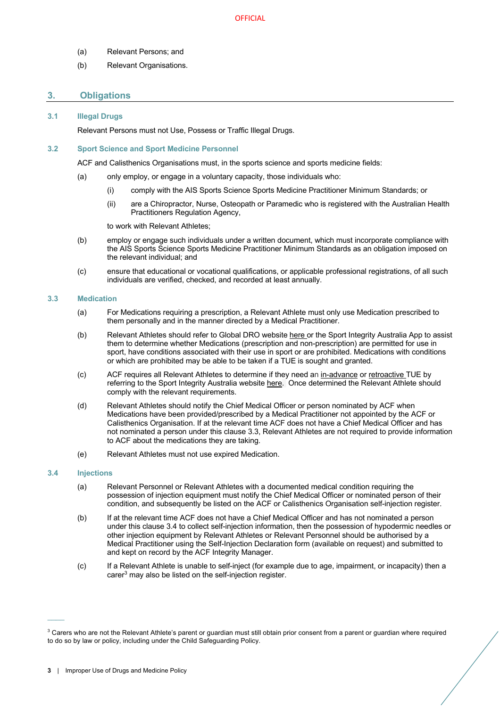- (a) Relevant Persons; and
- (b) Relevant Organisations.

## **3. Obligations**

#### **3.1 Illegal Drugs**

Relevant Persons must not Use, Possess or Traffic Illegal Drugs.

#### **3.2 Sport Science and Sport Medicine Personnel**

ACF and Calisthenics Organisations must, in the sports science and sports medicine fields:

- (a) only employ, or engage in a voluntary capacity, those individuals who:
	- (i) comply with the AIS Sports Science Sports Medicine Practitioner Minimum Standards; or
	- (ii) are a Chiropractor, Nurse, Osteopath or Paramedic who is registered with the Australian Health Practitioners Regulation Agency,

to work with Relevant Athletes;

- (b) employ or engage such individuals under a written document, which must incorporate compliance with the AIS Sports Science Sports Medicine Practitioner Minimum Standards as an obligation imposed on the relevant individual; and
- (c) ensure that educational or vocational qualifications, or applicable professional registrations, of all such individuals are verified, checked, and recorded at least annually.

#### **3.3 Medication**

- (a) For Medications requiring a prescription, a Relevant Athlete must only use Medication prescribed to them personally and in the manner directed by a Medical Practitioner.
- (b) Relevant Athletes should refer to Global DRO website here or the Sport Integrity Australia App to assist them to determine whether Medications (prescription and non-prescription) are permitted for use in sport, have conditions associated with their use in sport or are prohibited. Medications with conditions or which are prohibited may be able to be taken if a TUE is sought and granted.
- (c) ACF requires all Relevant Athletes to determine if they need an in-advance or retroactive TUE by referring to the Sport Integrity Australia website here. Once determined the Relevant Athlete should comply with the relevant requirements.
- (d) Relevant Athletes should notify the Chief Medical Officer or person nominated by ACF when Medications have been provided/prescribed by a Medical Practitioner not appointed by the ACF or Calisthenics Organisation. If at the relevant time ACF does not have a Chief Medical Officer and has not nominated a person under this clause 3.3, Relevant Athletes are not required to provide information to ACF about the medications they are taking.
- (e) Relevant Athletes must not use expired Medication.

#### **3.4 Injections**

- (a) Relevant Personnel or Relevant Athletes with a documented medical condition requiring the possession of injection equipment must notify the Chief Medical Officer or nominated person of their condition, and subsequently be listed on the ACF or Calisthenics Organisation self-injection register.
- (b) If at the relevant time ACF does not have a Chief Medical Officer and has not nominated a person under this clause 3.4 to collect self-injection information, then the possession of hypodermic needles or other injection equipment by Relevant Athletes or Relevant Personnel should be authorised by a Medical Practitioner using the Self-Injection Declaration form (available on request) and submitted to and kept on record by the ACF Integrity Manager.
- (c) If a Relevant Athlete is unable to self-inject (for example due to age, impairment, or incapacity) then a carer<sup>3</sup> may also be listed on the self-injection register.

<sup>&</sup>lt;sup>3</sup> Carers who are not the Relevant Athlete's parent or guardian must still obtain prior consent from a parent or guardian where required to do so by law or policy, including under the Child Safeguarding Policy.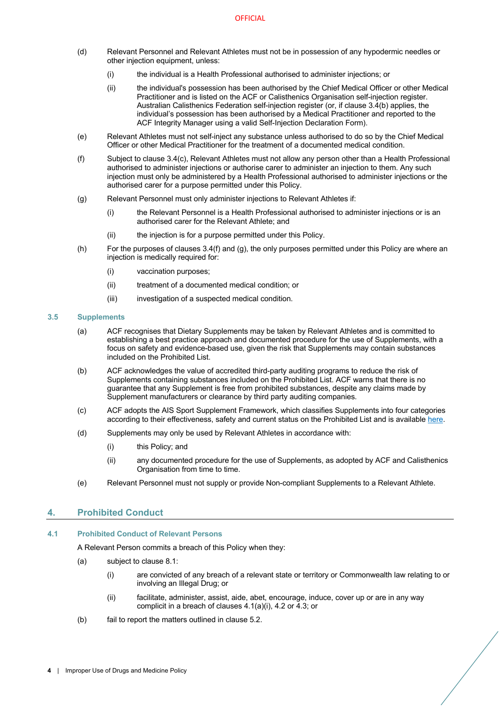- (d) Relevant Personnel and Relevant Athletes must not be in possession of any hypodermic needles or other injection equipment, unless:
	- (i) the individual is a Health Professional authorised to administer injections; or
	- (ii) the individual's possession has been authorised by the Chief Medical Officer or other Medical Practitioner and is listed on the ACF or Calisthenics Organisation self-injection register. Australian Calisthenics Federation self-injection register (or, if clause 3.4(b) applies, the individual's possession has been authorised by a Medical Practitioner and reported to the ACF Integrity Manager using a valid Self-Injection Declaration Form).
- (e) Relevant Athletes must not self-inject any substance unless authorised to do so by the Chief Medical Officer or other Medical Practitioner for the treatment of a documented medical condition.
- (f) Subject to clause 3.4(c), Relevant Athletes must not allow any person other than a Health Professional authorised to administer injections or authorise carer to administer an injection to them. Any such injection must only be administered by a Health Professional authorised to administer injections or the authorised carer for a purpose permitted under this Policy.
- (g) Relevant Personnel must only administer injections to Relevant Athletes if:
	- (i) the Relevant Personnel is a Health Professional authorised to administer injections or is an authorised carer for the Relevant Athlete; and
	- (ii) the injection is for a purpose permitted under this Policy.
- (h) For the purposes of clauses 3.4(f) and (g), the only purposes permitted under this Policy are where an injection is medically required for:
	- (i) vaccination purposes;
	- (ii) treatment of a documented medical condition; or
	- (iii) investigation of a suspected medical condition.

#### **3.5 Supplements**

- (a) ACF recognises that Dietary Supplements may be taken by Relevant Athletes and is committed to establishing a best practice approach and documented procedure for the use of Supplements, with a focus on safety and evidence-based use, given the risk that Supplements may contain substances included on the Prohibited List.
- (b) ACF acknowledges the value of accredited third-party auditing programs to reduce the risk of Supplements containing substances included on the Prohibited List. ACF warns that there is no guarantee that any Supplement is free from prohibited substances, despite any claims made by Supplement manufacturers or clearance by third party auditing companies.
- (c) ACF adopts the AIS Sport Supplement Framework, which classifies Supplements into four categories according to their effectiveness, safety and current status on the Prohibited List and is available here.
- (d) Supplements may only be used by Relevant Athletes in accordance with:
	- (i) this Policy; and
	- (ii) any documented procedure for the use of Supplements, as adopted by ACF and Calisthenics Organisation from time to time.
- (e) Relevant Personnel must not supply or provide Non-compliant Supplements to a Relevant Athlete.

# **4. Prohibited Conduct**

#### **4.1 Prohibited Conduct of Relevant Persons**

A Relevant Person commits a breach of this Policy when they:

- (a) subject to clause 8.1:
	- (i) are convicted of any breach of a relevant state or territory or Commonwealth law relating to or involving an Illegal Drug; or
	- (ii) facilitate, administer, assist, aide, abet, encourage, induce, cover up or are in any way complicit in a breach of clauses 4.1(a)(i), 4.2 or 4.3; or
- (b) fail to report the matters outlined in clause 5.2.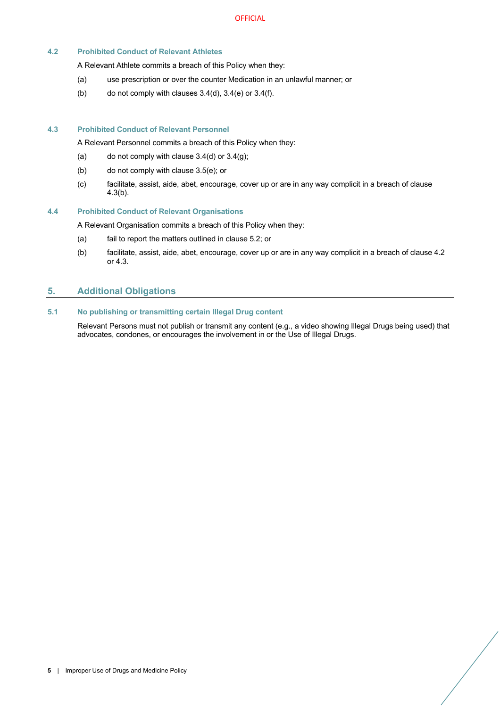## **4.2 Prohibited Conduct of Relevant Athletes**

A Relevant Athlete commits a breach of this Policy when they:

- (a) use prescription or over the counter Medication in an unlawful manner; or
- (b) do not comply with clauses  $3.4(d)$ ,  $3.4(e)$  or  $3.4(f)$ .

#### **4.3 Prohibited Conduct of Relevant Personnel**

A Relevant Personnel commits a breach of this Policy when they:

- (a) do not comply with clause  $3.4$ (d) or  $3.4$ (g);
- (b) do not comply with clause 3.5(e); or
- (c) facilitate, assist, aide, abet, encourage, cover up or are in any way complicit in a breach of clause 4.3(b).

#### **4.4 Prohibited Conduct of Relevant Organisations**

A Relevant Organisation commits a breach of this Policy when they:

- (a) fail to report the matters outlined in clause 5.2; or
- (b) facilitate, assist, aide, abet, encourage, cover up or are in any way complicit in a breach of clause 4.2 or 4.3.

# **5. Additional Obligations**

# **5.1 No publishing or transmitting certain Illegal Drug content**

Relevant Persons must not publish or transmit any content (e.g., a video showing Illegal Drugs being used) that advocates, condones, or encourages the involvement in or the Use of Illegal Drugs.